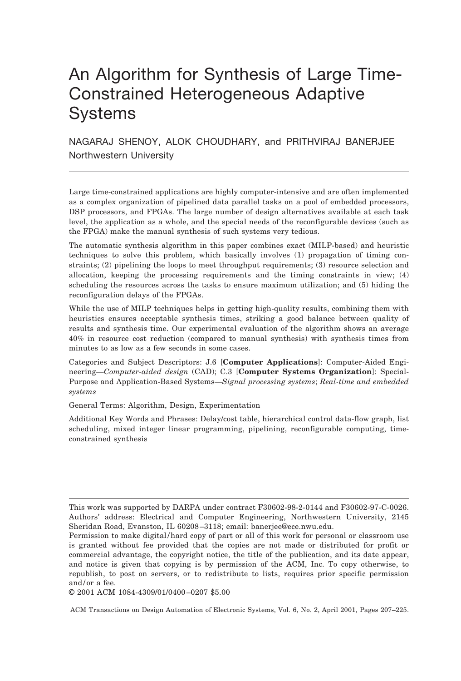# An Algorithm for Synthesis of Large Time-Constrained Heterogeneous Adaptive **Systems**

NAGARAJ SHENOY, ALOK CHOUDHARY, and PRITHVIRAJ BANERJEE Northwestern University

Large time-constrained applications are highly computer-intensive and are often implemented as a complex organization of pipelined data parallel tasks on a pool of embedded processors, DSP processors, and FPGAs. The large number of design alternatives available at each task level, the application as a whole, and the special needs of the reconfigurable devices (such as the FPGA) make the manual synthesis of such systems very tedious.

The automatic synthesis algorithm in this paper combines exact (MILP-based) and heuristic techniques to solve this problem, which basically involves (1) propagation of timing constraints; (2) pipelining the loops to meet throughput requirements; (3) resource selection and allocation, keeping the processing requirements and the timing constraints in view; (4) scheduling the resources across the tasks to ensure maximum utilization; and (5) hiding the reconfiguration delays of the FPGAs.

While the use of MILP techniques helps in getting high-quality results, combining them with heuristics ensures acceptable synthesis times, striking a good balance between quality of results and synthesis time. Our experimental evaluation of the algorithm shows an average 40% in resource cost reduction (compared to manual synthesis) with synthesis times from minutes to as low as a few seconds in some cases.

Categories and Subject Descriptors: J.6 [**Computer Applications**]: Computer-Aided Engineering—*Computer-aided design* (CAD); C.3 [**Computer Systems Organization**]: Special-Purpose and Application-Based Systems—*Signal processing systems*; *Real-time and embedded systems*

General Terms: Algorithm, Design, Experimentation

Additional Key Words and Phrases: Delay/cost table, hierarchical control data-flow graph, list scheduling, mixed integer linear programming, pipelining, reconfigurable computing, timeconstrained synthesis

© 2001 ACM 1084-4309/01/0400–0207 \$5.00

This work was supported by DARPA under contract F30602-98-2-0144 and F30602-97-C-0026. Authors' address: Electrical and Computer Engineering, Northwestern University, 2145 Sheridan Road, Evanston, IL 60208–3118; email: banerjee@ece.nwu.edu.

Permission to make digital/hard copy of part or all of this work for personal or classroom use is granted without fee provided that the copies are not made or distributed for profit or commercial advantage, the copyright notice, the title of the publication, and its date appear, and notice is given that copying is by permission of the ACM, Inc. To copy otherwise, to republish, to post on servers, or to redistribute to lists, requires prior specific permission and/or a fee.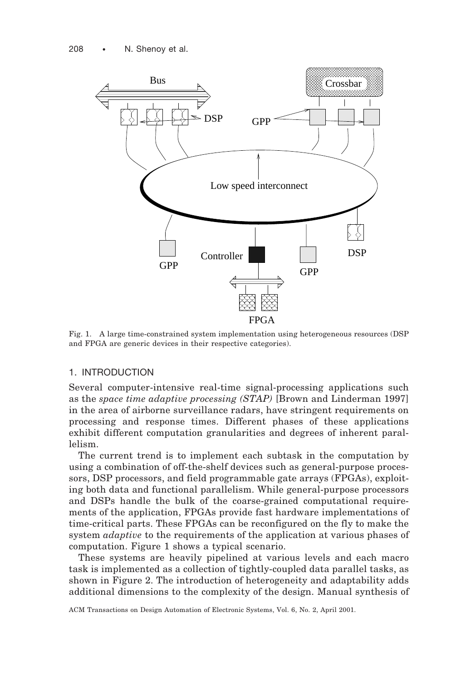

Fig. 1. A large time-constrained system implementation using heterogeneous resources (DSP and FPGA are generic devices in their respective categories).

### 1. INTRODUCTION

Several computer-intensive real-time signal-processing applications such as the *space time adaptive processing (STAP)* [Brown and Linderman 1997] in the area of airborne surveillance radars, have stringent requirements on processing and response times. Different phases of these applications exhibit different computation granularities and degrees of inherent parallelism.

The current trend is to implement each subtask in the computation by using a combination of off-the-shelf devices such as general-purpose processors, DSP processors, and field programmable gate arrays (FPGAs), exploiting both data and functional parallelism. While general-purpose processors and DSPs handle the bulk of the coarse-grained computational requirements of the application, FPGAs provide fast hardware implementations of time-critical parts. These FPGAs can be reconfigured on the fly to make the system *adaptive* to the requirements of the application at various phases of computation. Figure 1 shows a typical scenario.

These systems are heavily pipelined at various levels and each macro task is implemented as a collection of tightly-coupled data parallel tasks, as shown in Figure 2. The introduction of heterogeneity and adaptability adds additional dimensions to the complexity of the design. Manual synthesis of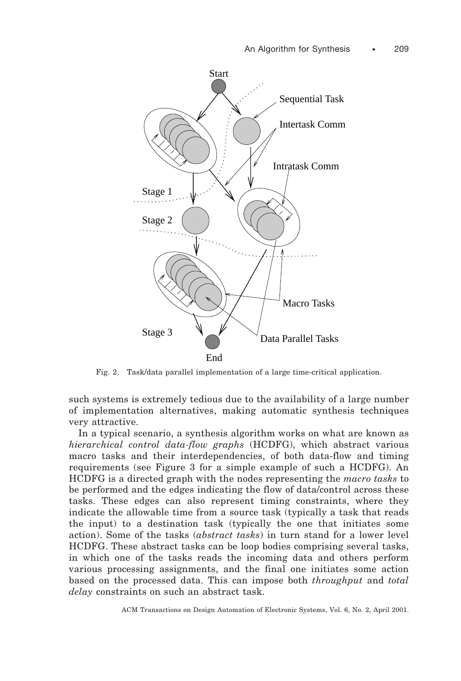

Fig. 2. Task/data parallel implementation of a large time-critical application.

such systems is extremely tedious due to the availability of a large number of implementation alternatives, making automatic synthesis techniques very attractive.

In a typical scenario, a synthesis algorithm works on what are known as *hierarchical control data-flow graphs* (HCDFG), which abstract various macro tasks and their interdependencies, of both data-flow and timing requirements (see Figure 3 for a simple example of such a HCDFG). An HCDFG is a directed graph with the nodes representing the *macro tasks* to be performed and the edges indicating the flow of data/control across these tasks. These edges can also represent timing constraints, where they indicate the allowable time from a source task (typically a task that reads the input) to a destination task (typically the one that initiates some action). Some of the tasks (*abstract tasks*) in turn stand for a lower level HCDFG. These abstract tasks can be loop bodies comprising several tasks, in which one of the tasks reads the incoming data and others perform various processing assignments, and the final one initiates some action based on the processed data. This can impose both *throughput* and *total delay* constraints on such an abstract task.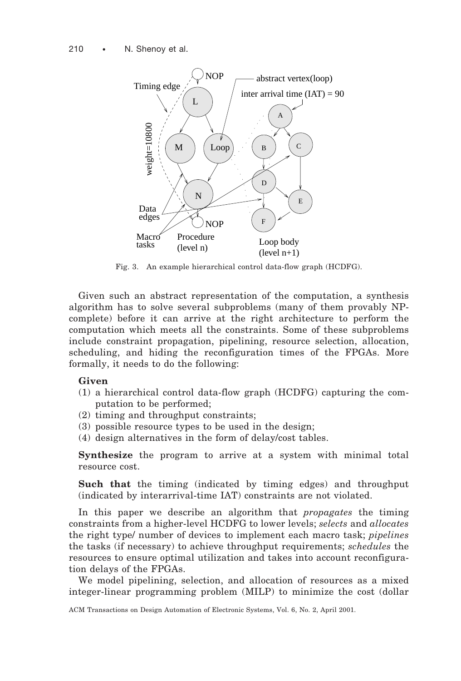

Fig. 3. An example hierarchical control data-flow graph (HCDFG).

Given such an abstract representation of the computation, a synthesis algorithm has to solve several subproblems (many of them provably NPcomplete) before it can arrive at the right architecture to perform the computation which meets all the constraints. Some of these subproblems include constraint propagation, pipelining, resource selection, allocation, scheduling, and hiding the reconfiguration times of the FPGAs. More formally, it needs to do the following:

## **Given**

- (1) a hierarchical control data-flow graph (HCDFG) capturing the computation to be performed;
- (2) timing and throughput constraints;
- (3) possible resource types to be used in the design;
- (4) design alternatives in the form of delay/cost tables.

**Synthesize** the program to arrive at a system with minimal total resource cost.

**Such that** the timing (indicated by timing edges) and throughput (indicated by interarrival-time IAT) constraints are not violated.

In this paper we describe an algorithm that *propagates* the timing constraints from a higher-level HCDFG to lower levels; *selects* and *allocates* the right type/ number of devices to implement each macro task; *pipelines* the tasks (if necessary) to achieve throughput requirements; *schedules* the resources to ensure optimal utilization and takes into account reconfiguration delays of the FPGAs.

We model pipelining, selection, and allocation of resources as a mixed integer-linear programming problem (MILP) to minimize the cost (dollar

ACM Transactions on Design Automation of Electronic Systems, Vol. 6, No. 2, April 2001.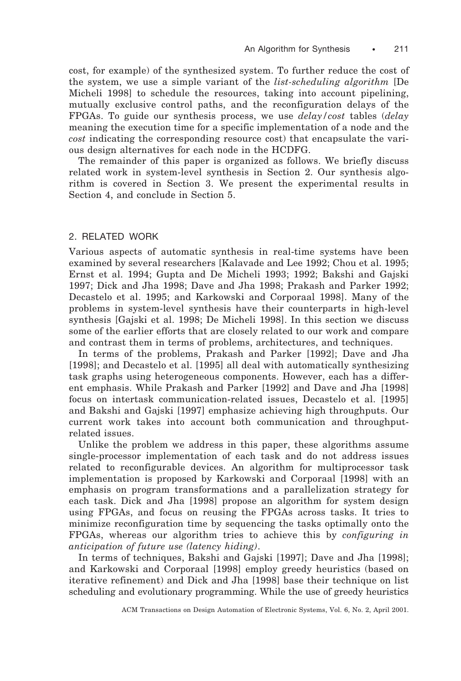cost, for example) of the synthesized system. To further reduce the cost of the system, we use a simple variant of the *list-scheduling algorithm* [De Micheli 1998] to schedule the resources, taking into account pipelining, mutually exclusive control paths, and the reconfiguration delays of the FPGAs. To guide our synthesis process, we use *delay/cost* tables (*delay* meaning the execution time for a specific implementation of a node and the *cost* indicating the corresponding resource cost) that encapsulate the various design alternatives for each node in the HCDFG.

The remainder of this paper is organized as follows. We briefly discuss related work in system-level synthesis in Section 2. Our synthesis algorithm is covered in Section 3. We present the experimental results in Section 4, and conclude in Section 5.

## 2. RELATED WORK

Various aspects of automatic synthesis in real-time systems have been examined by several researchers [Kalavade and Lee 1992; Chou et al. 1995; Ernst et al. 1994; Gupta and De Micheli 1993; 1992; Bakshi and Gajski 1997; Dick and Jha 1998; Dave and Jha 1998; Prakash and Parker 1992; Decastelo et al. 1995; and Karkowski and Corporaal 1998]. Many of the problems in system-level synthesis have their counterparts in high-level synthesis [Gajski et al. 1998; De Micheli 1998]. In this section we discuss some of the earlier efforts that are closely related to our work and compare and contrast them in terms of problems, architectures, and techniques.

In terms of the problems, Prakash and Parker [1992]; Dave and Jha [1998]; and Decastelo et al. [1995] all deal with automatically synthesizing task graphs using heterogeneous components. However, each has a different emphasis. While Prakash and Parker [1992] and Dave and Jha [1998] focus on intertask communication-related issues, Decastelo et al. [1995] and Bakshi and Gajski [1997] emphasize achieving high throughputs. Our current work takes into account both communication and throughputrelated issues.

Unlike the problem we address in this paper, these algorithms assume single-processor implementation of each task and do not address issues related to reconfigurable devices. An algorithm for multiprocessor task implementation is proposed by Karkowski and Corporaal [1998] with an emphasis on program transformations and a parallelization strategy for each task. Dick and Jha [1998] propose an algorithm for system design using FPGAs, and focus on reusing the FPGAs across tasks. It tries to minimize reconfiguration time by sequencing the tasks optimally onto the FPGAs, whereas our algorithm tries to achieve this by *configuring in anticipation of future use (latency hiding)*.

In terms of techniques, Bakshi and Gajski [1997]; Dave and Jha [1998]; and Karkowski and Corporaal [1998] employ greedy heuristics (based on iterative refinement) and Dick and Jha [1998] base their technique on list scheduling and evolutionary programming. While the use of greedy heuristics

ACM Transactions on Design Automation of Electronic Systems, Vol. 6, No. 2, April 2001.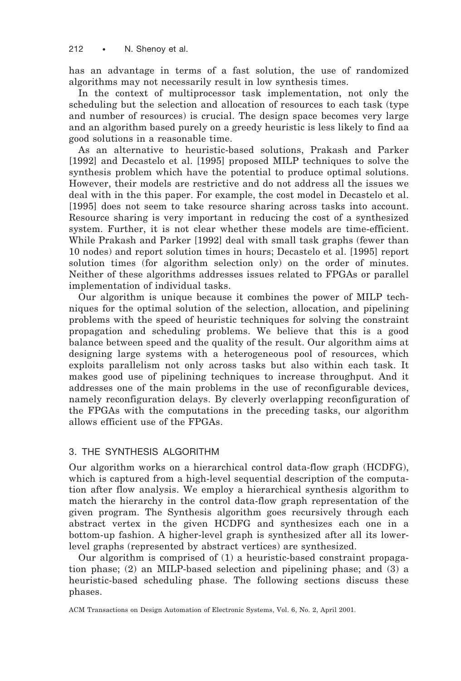has an advantage in terms of a fast solution, the use of randomized algorithms may not necessarily result in low synthesis times.

In the context of multiprocessor task implementation, not only the scheduling but the selection and allocation of resources to each task (type and number of resources) is crucial. The design space becomes very large and an algorithm based purely on a greedy heuristic is less likely to find aa good solutions in a reasonable time.

As an alternative to heuristic-based solutions, Prakash and Parker [1992] and Decastelo et al. [1995] proposed MILP techniques to solve the synthesis problem which have the potential to produce optimal solutions. However, their models are restrictive and do not address all the issues we deal with in the this paper. For example, the cost model in Decastelo et al. [1995] does not seem to take resource sharing across tasks into account. Resource sharing is very important in reducing the cost of a synthesized system. Further, it is not clear whether these models are time-efficient. While Prakash and Parker [1992] deal with small task graphs (fewer than 10 nodes) and report solution times in hours; Decastelo et al. [1995] report solution times (for algorithm selection only) on the order of minutes. Neither of these algorithms addresses issues related to FPGAs or parallel implementation of individual tasks.

Our algorithm is unique because it combines the power of MILP techniques for the optimal solution of the selection, allocation, and pipelining problems with the speed of heuristic techniques for solving the constraint propagation and scheduling problems. We believe that this is a good balance between speed and the quality of the result. Our algorithm aims at designing large systems with a heterogeneous pool of resources, which exploits parallelism not only across tasks but also within each task. It makes good use of pipelining techniques to increase throughput. And it addresses one of the main problems in the use of reconfigurable devices, namely reconfiguration delays. By cleverly overlapping reconfiguration of the FPGAs with the computations in the preceding tasks, our algorithm allows efficient use of the FPGAs.

# 3. THE SYNTHESIS ALGORITHM

Our algorithm works on a hierarchical control data-flow graph (HCDFG), which is captured from a high-level sequential description of the computation after flow analysis. We employ a hierarchical synthesis algorithm to match the hierarchy in the control data-flow graph representation of the given program. The Synthesis algorithm goes recursively through each abstract vertex in the given HCDFG and synthesizes each one in a bottom-up fashion. A higher-level graph is synthesized after all its lowerlevel graphs (represented by abstract vertices) are synthesized.

Our algorithm is comprised of (1) a heuristic-based constraint propagation phase; (2) an MILP-based selection and pipelining phase; and (3) a heuristic-based scheduling phase. The following sections discuss these phases.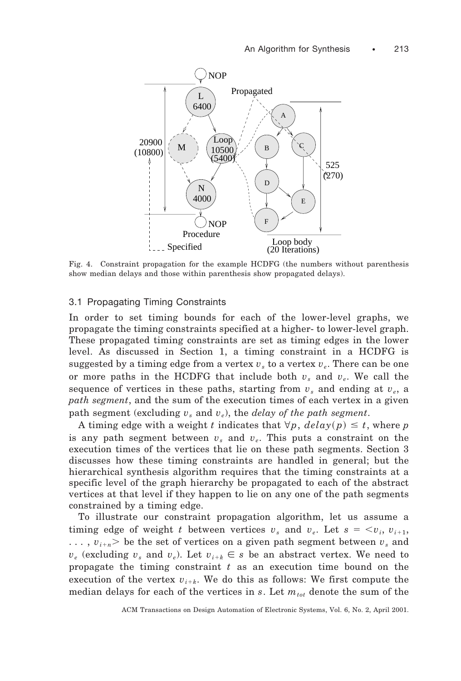

Fig. 4. Constraint propagation for the example HCDFG (the numbers without parenthesis show median delays and those within parenthesis show propagated delays).

#### 3.1 Propagating Timing Constraints

In order to set timing bounds for each of the lower-level graphs, we propagate the timing constraints specified at a higher- to lower-level graph. These propagated timing constraints are set as timing edges in the lower level. As discussed in Section 1, a timing constraint in a HCDFG is suggested by a timing edge from a vertex  $v<sub>s</sub>$  to a vertex  $v<sub>e</sub>$ . There can be one or more paths in the HCDFG that include both  $v_s$  and  $v_e$ . We call the sequence of vertices in these paths, starting from  $v_s$  and ending at  $v_e$ , a *path segment*, and the sum of the execution times of each vertex in a given path segment (excluding  $v_s$  and  $v_e$ ), the *delay of the path segment*.

A timing edge with a weight *t* indicates that  $\forall p$ ,  $delay(p) \leq t$ , where *p* is any path segment between  $v_s$  and  $v_e$ . This puts a constraint on the execution times of the vertices that lie on these path segments. Section 3 discusses how these timing constraints are handled in general; but the hierarchical synthesis algorithm requires that the timing constraints at a specific level of the graph hierarchy be propagated to each of the abstract vertices at that level if they happen to lie on any one of the path segments constrained by a timing edge.

To illustrate our constraint propagation algorithm, let us assume a timing edge of weight *t* between vertices  $v_s$  and  $v_e$ . Let  $s = \langle v_i, v_{i+1}, \rangle$  $\dots$ ,  $v_{i+n}$  be the set of vertices on a given path segment between  $v_s$  and  $v_e$  (excluding  $v_s$  and  $v_e$ ). Let  $v_{i+k} \in s$  be an abstract vertex. We need to propagate the timing constraint *t* as an execution time bound on the execution of the vertex  $v_{i+k}$ . We do this as follows: We first compute the median delays for each of the vertices in  $s$ . Let  $m_{tot}$  denote the sum of the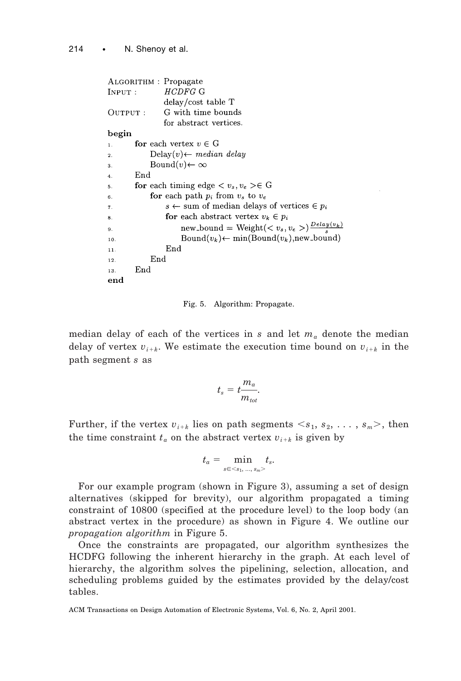214 • N. Shenoy et al.

|                             | ALGORITHM : Propagate                                        |
|-----------------------------|--------------------------------------------------------------|
| INPUT:                      | <i>HCDFG</i> G                                               |
|                             | delay/cost table T                                           |
| OUTPUT :                    | G with time bounds                                           |
|                             | for abstract vertices.                                       |
| begin                       |                                                              |
| $\mathbf{1}$ .              | for each vertex $v \in G$                                    |
| 2.                          | Delay $(v) \leftarrow median$ delay                          |
| 3.                          | Bound $(v) \leftarrow \infty$                                |
| End<br>4.                   |                                                              |
| 5.                          | for each timing edge $\langle v_s, v_e \rangle \in G$        |
| 6.                          | for each path $p_i$ from $v_s$ to $v_e$                      |
| 7.                          | $s \leftarrow$ sum of median delays of vertices $\in p_i$    |
| 8.                          | for each abstract vertex $v_k \in p_i$                       |
| 9.                          | new_bound = Weight(< $v_s$ , $v_e$ >) $\frac{Delay(v_k)}{s}$ |
| 10.                         | $Bound(v_k) \leftarrow min(Bound(v_k), new-bound)$           |
| 11.                         | End                                                          |
| 12.                         | $\operatorname{End}$                                         |
| $\operatorname{End}$<br>13. |                                                              |
| end                         |                                                              |

Fig. 5. Algorithm: Propagate.

median delay of each of the vertices in  $s$  and let  $m_a$  denote the median delay of vertex  $v_{i+k}$ . We estimate the execution time bound on  $v_{i+k}$  in the path segment *s* as

$$
t_s = t \frac{m_a}{m_{tot}}.
$$

Further, if the vertex  $v_{i+k}$  lies on path segments  $\langle s_1, s_2, \ldots, s_m \rangle$ , then the time constraint  $t_a$  on the abstract vertex  $v_{i+k}$  is given by

$$
t_a=\min_{s\in } t_s.
$$

For our example program (shown in Figure 3), assuming a set of design alternatives (skipped for brevity), our algorithm propagated a timing constraint of 10800 (specified at the procedure level) to the loop body (an abstract vertex in the procedure) as shown in Figure 4. We outline our *propagation algorithm* in Figure 5.

Once the constraints are propagated, our algorithm synthesizes the HCDFG following the inherent hierarchy in the graph. At each level of hierarchy, the algorithm solves the pipelining, selection, allocation, and scheduling problems guided by the estimates provided by the delay/cost tables.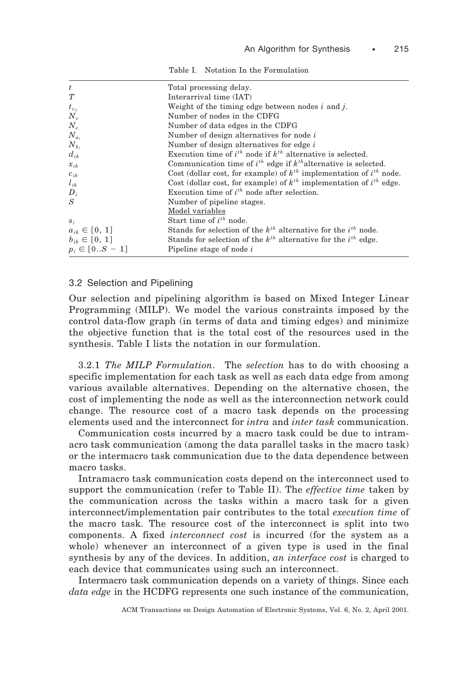| $\it t$                 | Total processing delay.                                                      |
|-------------------------|------------------------------------------------------------------------------|
| T                       | Interarrival time (IAT)                                                      |
| $t_{\mathfrak{c}_{ij}}$ | Weight of the timing edge between nodes $i$ and $j$ .                        |
| $N_{v}$                 | Number of nodes in the CDFG                                                  |
| $N_e$                   | Number of data edges in the CDFG                                             |
| $N_{a_i}$               | Number of design alternatives for node i                                     |
| $N_{b_i}$               | Number of design alternatives for edge i                                     |
| $d_{ik}$                | Execution time of $i^{th}$ node if $k^{th}$ alternative is selected.         |
| $x_{ik}$                | Communication time of $i^{th}$ edge if $k^{th}$ alternative is selected.     |
| $c_{ik}$                | Cost (dollar cost, for example) of $k^{th}$ implementation of $i^{th}$ node. |
| $\boldsymbol{l}_{ik}$   | Cost (dollar cost, for example) of $k^{th}$ implementation of $i^{th}$ edge. |
| $D_i$                   | Execution time of $i^{th}$ node after selection.                             |
| S                       | Number of pipeline stages.                                                   |
|                         | Model variables                                                              |
| $S_i$                   | Start time of $i^{th}$ node.                                                 |
| $a_{ik} \in [0, 1]$     | Stands for selection of the $k^{th}$ alternative for the $i^{th}$ node.      |
| $b_{ik} \in [0, 1]$     | Stands for selection of the $k^{th}$ alternative for the $i^{th}$ edge.      |
| $p_i \in [0S - 1]$      | Pipeline stage of node $i$                                                   |

Table I. Notation In the Formulation

#### 3.2 Selection and Pipelining

Our selection and pipelining algorithm is based on Mixed Integer Linear Programming (MILP). We model the various constraints imposed by the control data-flow graph (in terms of data and timing edges) and minimize the objective function that is the total cost of the resources used in the synthesis. Table I lists the notation in our formulation.

3.2.1 *The MILP Formulation*. The *selection* has to do with choosing a specific implementation for each task as well as each data edge from among various available alternatives. Depending on the alternative chosen, the cost of implementing the node as well as the interconnection network could change. The resource cost of a macro task depends on the processing elements used and the interconnect for *intra* and *inter task* communication.

Communication costs incurred by a macro task could be due to intramacro task communication (among the data parallel tasks in the macro task) or the intermacro task communication due to the data dependence between macro tasks.

Intramacro task communication costs depend on the interconnect used to support the communication (refer to Table II). The *effective time* taken by the communication across the tasks within a macro task for a given interconnect/implementation pair contributes to the total *execution time* of the macro task. The resource cost of the interconnect is split into two components. A fixed *interconnect cost* is incurred (for the system as a whole) whenever an interconnect of a given type is used in the final synthesis by any of the devices. In addition, *an interface cost* is charged to each device that communicates using such an interconnect.

Intermacro task communication depends on a variety of things. Since each *data edge* in the HCDFG represents one such instance of the communication,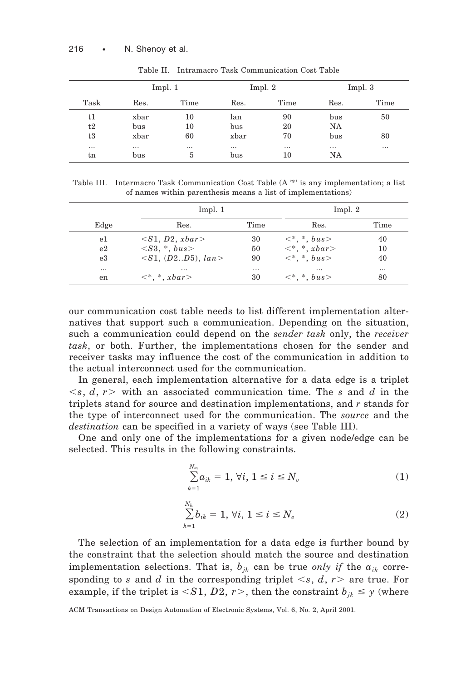|                | Impl.1          |                            | Impl. 2         |                | Impl.3         |          |
|----------------|-----------------|----------------------------|-----------------|----------------|----------------|----------|
| Task           | Res.            | Time                       | Res.            | Time           | Res.           | Time     |
| t1             | xbar            | 10                         | lan             | 90             | bus            | 50       |
| t2<br>t3       | bus<br>xbar     | 10<br>60                   | bus<br>xbar     | 20<br>70       | NA<br>bus      | 80       |
| $\cdots$<br>tn | $\cdots$<br>bus | $\cdots$<br>$\overline{5}$ | $\cdots$<br>bus | $\cdots$<br>10 | $\cdots$<br>NA | $\cdots$ |

Table II. Intramacro Task Communication Cost Table

Table III. Intermacro Task Communication Cost Table (A '\*' is any implementation; a list of names within parenthesis means a list of implementations)

|                | Impl.1                            |          | Impl. 2                                       |          |  |
|----------------|-----------------------------------|----------|-----------------------------------------------|----------|--|
| Edge           | Res.                              | Time     | Res.                                          | Time     |  |
| $_{\rm e1}$    | $\langle S1, D2, xbar \rangle$    | 30       | $\langle 1, 1, 2, 3 \rangle$                  | 40       |  |
| e <sub>2</sub> | $< S3, *$ , <i>bus</i>            | 50       | $\langle \cdot, \cdot, \cdot \rangle$         | 10       |  |
| e3             | $\langle S1, (D2D5), lan \rangle$ | 90       | $\langle \cdot, \cdot \rangle^*$ , <i>bus</i> | 40       |  |
| $\cdots$       | $\cdots$                          | $\cdots$ | $\cdots$                                      | $\cdots$ |  |
| en             | $\lt^*, *, xbar >$                | 30       | $\lt^*,$ *, bus>                              | 80       |  |

our communication cost table needs to list different implementation alternatives that support such a communication. Depending on the situation, such a communication could depend on the *sender task* only, the *receiver task*, or both. Further, the implementations chosen for the sender and receiver tasks may influence the cost of the communication in addition to the actual interconnect used for the communication.

In general, each implementation alternative for a data edge is a triplet  $\langle s, d, r \rangle$  with an associated communication time. The *s* and *d* in the triplets stand for source and destination implementations, and *r* stands for the type of interconnect used for the communication. The *source* and the *destination* can be specified in a variety of ways (see Table III).

One and only one of the implementations for a given node/edge can be selected. This results in the following constraints.

$$
\sum_{k=1}^{N_{a_i}} a_{ik} = 1, \, \forall i, \, 1 \leq i \leq N_v \tag{1}
$$

$$
\sum_{k=1}^{N_{b_i}} b_{ik} = 1, \,\forall i, \, 1 \le i \le N_e \tag{2}
$$

The selection of an implementation for a data edge is further bound by the constraint that the selection should match the source and destination implementation selections. That is,  $b_{ik}$  can be true *only if* the  $a_{ik}$  corresponding to *s* and *d* in the corresponding triplet  $\leq s$ , *d*, *r*. are true. For example, if the triplet is  $\langle S1, D2, r \rangle$ , then the constraint  $b_{jk} \leq y$  (where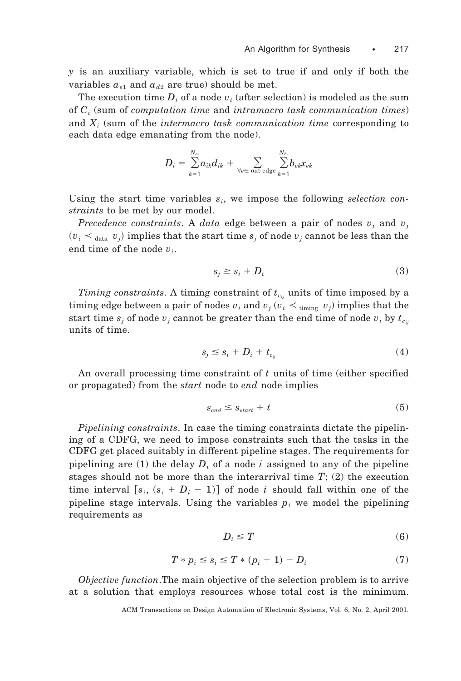*y* is an auxiliary variable, which is set to true if and only if both the variables  $a_{s1}$  and  $a_{d2}$  are true) should be met.

The execution time  $D_i$  of a node  $v_i$  (after selection) is modeled as the sum of *Ci* (sum of *computation time* and *intramacro task communication times*) and *Xi* (sum of the *intermacro task communication time* corresponding to each data edge emanating from the node).

$$
D_i = \sum_{k=1}^{N_{a_i}} a_{ik}d_{ik} + \sum_{\forall e \in \text{ out edge}} \sum_{k=1}^{N_{b_e}} b_{ek}x_{ek}
$$

Using the start time variables *si*, we impose the following *selection constraints* to be met by our model.

*Precedence constraints.* A *data* edge between a pair of nodes  $v_i$  and  $v_j$  $(v_i \nless_{data} v_j)$  implies that the start time  $s_j$  of node  $v_j$  cannot be less than the end time of the node *vi*.

$$
s_j \ge s_i + D_i \tag{3}
$$

*Timing constraints*. A timing constraint of  $t_{cii}$  units of time imposed by a timing edge between a pair of nodes  $v_i$  and  $v_j$  ( $v_i <$ <sub>timing</sub>  $v_j$ ) implies that the start time  $s_i$  of node  $v_j$  cannot be greater than the end time of node  $v_i$  by  $t_{ci}$ units of time.

$$
s_j \leq s_i + D_i + t_{c_{ij}} \tag{4}
$$

An overall processing time constraint of *t* units of time (either specified or propagated) from the *start* node to *end* node implies

$$
s_{end} \le s_{start} + t \tag{5}
$$

*Pipelining constraints*. In case the timing constraints dictate the pipelining of a CDFG, we need to impose constraints such that the tasks in the CDFG get placed suitably in different pipeline stages. The requirements for pipelining are (1) the delay  $D_i$  of a node *i* assigned to any of the pipeline stages should not be more than the interarrival time  $T$ ; (2) the execution time interval  $[s_i, (s_i + D_i - 1)]$  of node *i* should fall within one of the pipeline stage intervals. Using the variables  $p_i$  we model the pipelining requirements as

$$
D_i \leq T \tag{6}
$$

$$
T * p_i \le s_i \le T * (p_i + 1) - D_i \tag{7}
$$

*Objective function*.The main objective of the selection problem is to arrive at a solution that employs resources whose total cost is the minimum.

ACM Transactions on Design Automation of Electronic Systems, Vol. 6, No. 2, April 2001.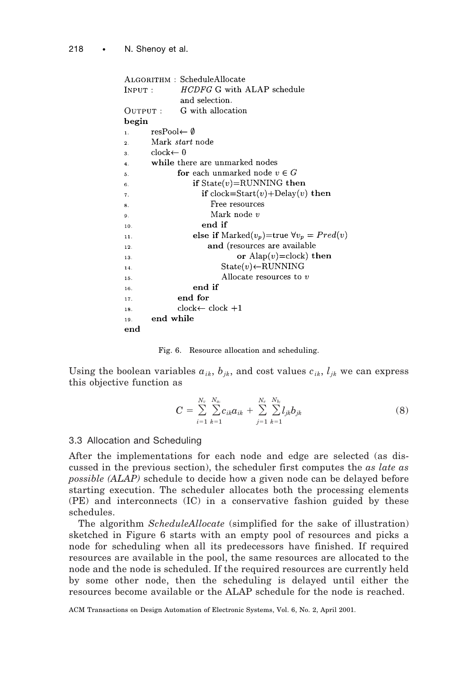|                | ALGORITHM: ScheduleAllocate                                        |
|----------------|--------------------------------------------------------------------|
| INPUT :        | <i>HCDFG</i> G with ALAP schedule                                  |
|                | and selection.                                                     |
| OUTPUT:        | G with allocation                                                  |
| begin          |                                                                    |
| $\mathbf{1}$ . | $resPool \leftarrow \emptyset$                                     |
| 2.             | Mark <i>start</i> node                                             |
| 3.             | $clock \leftarrow 0$                                               |
| 4.             | while there are unmarked nodes                                     |
| 5.             | for each unmarked node $v \in G$                                   |
| 6.             | if $State(v)=RUNNING$ then                                         |
| 7.             | if $clock = Start(v) + Delay(v)$ then                              |
| 8.             | Free resources                                                     |
| 9.             | Mark node $v$                                                      |
| 10.            | end if                                                             |
| 11.            | else if $\text{Market}(v_p) = \text{true} \ \forall v_p = Pred(v)$ |
| 12.            | and (resources are available                                       |
| 13.            | or Alap(v)=clock) then                                             |
| 14.            | $State(v) \leftarrow \text{RUNNING}$                               |
| 15.            | Allocate resources to $v$                                          |
| 16.            | end if                                                             |
| 17.            | end for                                                            |
| 18.            | $clock \leftarrow clock + 1$                                       |
| 19.            | end while                                                          |
| end            |                                                                    |

Fig. 6. Resource allocation and scheduling.

Using the boolean variables  $a_{ik}$ ,  $b_{ik}$ , and cost values  $c_{ik}$ ,  $l_{ik}$  we can express this objective function as

$$
C = \sum_{i=1}^{N_v} \sum_{k=1}^{N_{a_i}} c_{ik} a_{ik} + \sum_{j=1}^{N_e} \sum_{k=1}^{N_{b_j}} l_{jk} b_{jk}
$$
(8)

#### 3.3 Allocation and Scheduling

After the implementations for each node and edge are selected (as discussed in the previous section), the scheduler first computes the *as late as possible (ALAP)* schedule to decide how a given node can be delayed before starting execution. The scheduler allocates both the processing elements (PE) and interconnects (IC) in a conservative fashion guided by these schedules.

The algorithm *ScheduleAllocate* (simplified for the sake of illustration) sketched in Figure 6 starts with an empty pool of resources and picks a node for scheduling when all its predecessors have finished. If required resources are available in the pool, the same resources are allocated to the node and the node is scheduled. If the required resources are currently held by some other node, then the scheduling is delayed until either the resources become available or the ALAP schedule for the node is reached.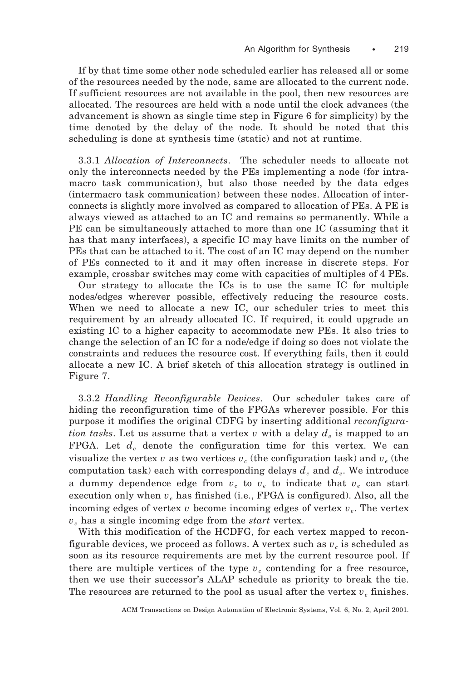If by that time some other node scheduled earlier has released all or some of the resources needed by the node, same are allocated to the current node. If sufficient resources are not available in the pool, then new resources are allocated. The resources are held with a node until the clock advances (the advancement is shown as single time step in Figure 6 for simplicity) by the time denoted by the delay of the node. It should be noted that this scheduling is done at synthesis time (static) and not at runtime.

3.3.1 *Allocation of Interconnects*. The scheduler needs to allocate not only the interconnects needed by the PEs implementing a node (for intramacro task communication), but also those needed by the data edges (intermacro task communication) between these nodes. Allocation of interconnects is slightly more involved as compared to allocation of PEs. A PE is always viewed as attached to an IC and remains so permanently. While a PE can be simultaneously attached to more than one IC (assuming that it has that many interfaces), a specific IC may have limits on the number of PEs that can be attached to it. The cost of an IC may depend on the number of PEs connected to it and it may often increase in discrete steps. For example, crossbar switches may come with capacities of multiples of 4 PEs.

Our strategy to allocate the ICs is to use the same IC for multiple nodes/edges wherever possible, effectively reducing the resource costs. When we need to allocate a new IC, our scheduler tries to meet this requirement by an already allocated IC. If required, it could upgrade an existing IC to a higher capacity to accommodate new PEs. It also tries to change the selection of an IC for a node/edge if doing so does not violate the constraints and reduces the resource cost. If everything fails, then it could allocate a new IC. A brief sketch of this allocation strategy is outlined in Figure 7.

3.3.2 *Handling Reconfigurable Devices*. Our scheduler takes care of hiding the reconfiguration time of the FPGAs wherever possible. For this purpose it modifies the original CDFG by inserting additional *reconfiguration tasks*. Let us assume that a vertex *v* with a delay *de* is mapped to an FPGA. Let  $d<sub>c</sub>$  denote the configuration time for this vertex. We can visualize the vertex  $v$  as two vertices  $v_c$  (the configuration task) and  $v_e$  (the computation task) each with corresponding delays  $d_c$  and  $d_e$ . We introduce a dummy dependence edge from  $v_c$  to  $v_e$  to indicate that  $v_e$  can start execution only when  $v_c$  has finished (i.e., FPGA is configured). Also, all the incoming edges of vertex  $v$  become incoming edges of vertex  $v_e$ . The vertex  $v_c$  has a single incoming edge from the *start* vertex.

With this modification of the HCDFG, for each vertex mapped to reconfigurable devices, we proceed as follows. A vertex such as  $v_c$  is scheduled as soon as its resource requirements are met by the current resource pool. If there are multiple vertices of the type  $v_c$  contending for a free resource, then we use their successor's ALAP schedule as priority to break the tie. The resources are returned to the pool as usual after the vertex  $v_e$  finishes.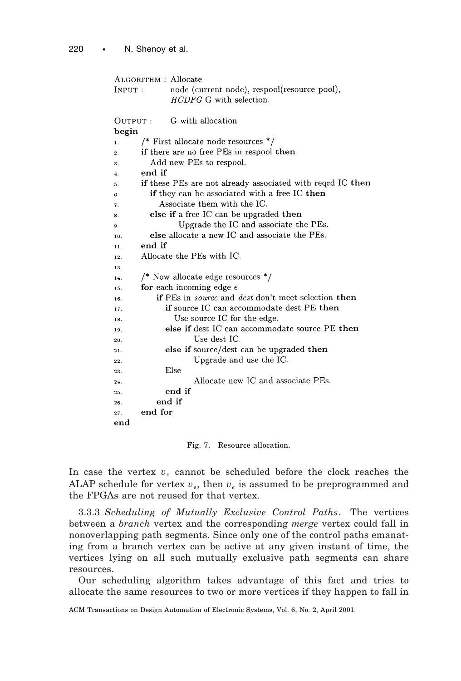```
ALGORITHM: Allocate
INPUT -
               node (current node), respool(resource pool),
               HCDFG G with selection.
OUTPUT:
               G with allocation
begin
       /* First allocate node resources */\mathbf{1}.
       if there are no free PEs in respool then
\overline{2}Add new PEs to respool.
\overline{3}end if
\overline{A}if these PEs are not already associated with regrd IC then
          if they can be associated with a free IC then
Ŕ.
            Associate them with the IC.
\overline{\tau}else if a free IC can be upgraded then
\mathbf{R}Upgrade the IC and associate the PEs.
\alphaelse allocate a new IC and associate the PEs.
10<sup>1</sup>end if
11Allocate the PEs with IC.
12<sup>2</sup>13/* Now allocate edge resources */14.
       for each incoming edge e15
           if PEs in source and dest don't meet selection then
16if source IC can accommodate dest PE then
17.
                 Use source IC for the edge.
1.8
              else if dest IC can accommodate source PE then
19
                      Use dest IC.
20else if source/dest can be upgraded then
21Upgrade and use the IC.
22Else
23
                      Allocate new IC and associate PEs.
24
              end if
25
           end if
26end for
27end
```
Fig. 7. Resource allocation.

In case the vertex  $v_c$  cannot be scheduled before the clock reaches the ALAP schedule for vertex  $v_e$ , then  $v_e$  is assumed to be preprogrammed and the FPGAs are not reused for that vertex.

3.3.3 *Scheduling of Mutually Exclusive Control Paths*. The vertices between a *branch* vertex and the corresponding *merge* vertex could fall in nonoverlapping path segments. Since only one of the control paths emanating from a branch vertex can be active at any given instant of time, the vertices lying on all such mutually exclusive path segments can share resources.

Our scheduling algorithm takes advantage of this fact and tries to allocate the same resources to two or more vertices if they happen to fall in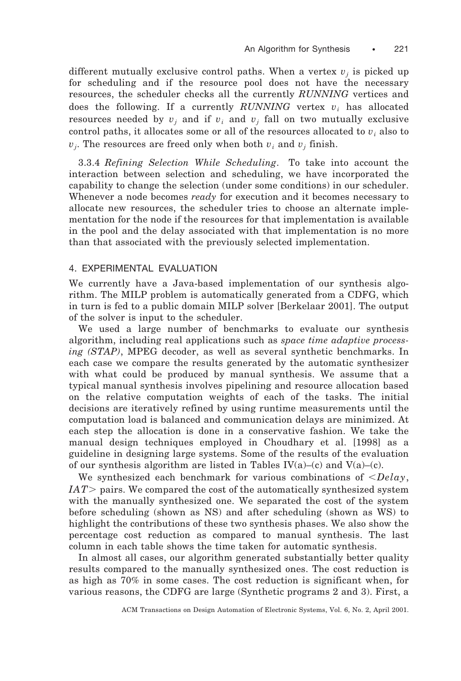different mutually exclusive control paths. When a vertex  $v_i$  is picked up for scheduling and if the resource pool does not have the necessary resources, the scheduler checks all the currently *RUNNING* vertices and does the following. If a currently  $RUNNING$  vertex  $v_i$  has allocated resources needed by  $v_i$  and if  $v_i$  and  $v_j$  fall on two mutually exclusive control paths, it allocates some or all of the resources allocated to  $v_i$  also to  $v_i$ . The resources are freed only when both  $v_i$  and  $v_j$  finish.

3.3.4 *Refining Selection While Scheduling*. To take into account the interaction between selection and scheduling, we have incorporated the capability to change the selection (under some conditions) in our scheduler. Whenever a node becomes *ready* for execution and it becomes necessary to allocate new resources, the scheduler tries to choose an alternate implementation for the node if the resources for that implementation is available in the pool and the delay associated with that implementation is no more than that associated with the previously selected implementation.

# 4. EXPERIMENTAL EVALUATION

We currently have a Java-based implementation of our synthesis algorithm. The MILP problem is automatically generated from a CDFG, which in turn is fed to a public domain MILP solver [Berkelaar 2001]. The output of the solver is input to the scheduler.

We used a large number of benchmarks to evaluate our synthesis algorithm, including real applications such as *space time adaptive processing (STAP)*, MPEG decoder, as well as several synthetic benchmarks. In each case we compare the results generated by the automatic synthesizer with what could be produced by manual synthesis. We assume that a typical manual synthesis involves pipelining and resource allocation based on the relative computation weights of each of the tasks. The initial decisions are iteratively refined by using runtime measurements until the computation load is balanced and communication delays are minimized. At each step the allocation is done in a conservative fashion. We take the manual design techniques employed in Choudhary et al. [1998] as a guideline in designing large systems. Some of the results of the evaluation of our synthesis algorithm are listed in Tables IV(a)–(c) and V(a)–(c).

We synthesized each benchmark for various combinations of  $\langle Delay, \rangle$ *IAT* > pairs. We compared the cost of the automatically synthesized system with the manually synthesized one. We separated the cost of the system before scheduling (shown as NS) and after scheduling (shown as WS) to highlight the contributions of these two synthesis phases. We also show the percentage cost reduction as compared to manual synthesis. The last column in each table shows the time taken for automatic synthesis.

In almost all cases, our algorithm generated substantially better quality results compared to the manually synthesized ones. The cost reduction is as high as 70% in some cases. The cost reduction is significant when, for various reasons, the CDFG are large (Synthetic programs 2 and 3). First, a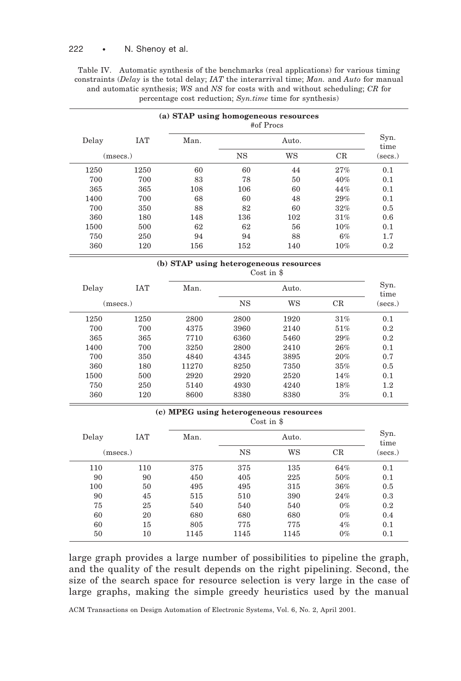### 222 • N. Shenoy et al.

Table IV. Automatic synthesis of the benchmarks (real applications) for various timing constraints (*Delay* is the total delay; *IAT* the interarrival time; *Man.* and *Auto* for manual and automatic synthesis; *WS* and *NS* for costs with and without scheduling; *CR* for percentage cost reduction; *Syn.time* time for synthesis)

| (a) STAP using homogeneous resources<br>#of Procs |            |      |           |       |     |                    |
|---------------------------------------------------|------------|------|-----------|-------|-----|--------------------|
| Delay                                             | <b>IAT</b> | Man. |           | Auto. |     | Syn.<br>time       |
| (msecs.)                                          |            |      | <b>NS</b> | WS    | CR  | $(\mathrm{secs.})$ |
| 1250                                              | 1250       | 60   | 60        | 44    | 27% | 0.1                |
| 700                                               | 700        | 83   | 78        | 50    | 40% | 0.1                |
| 365                                               | 365        | 108  | 106       | 60    | 44% | 0.1                |
| 1400                                              | 700        | 68   | 60        | 48    | 29% | 0.1                |
| 700                                               | 350        | 88   | 82        | 60    | 32% | 0.5                |
| 360                                               | 180        | 148  | 136       | 102   | 31% | 0.6                |
| 1500                                              | 500        | 62   | 62        | 56    | 10% | 0.1                |
| 750                                               | 250        | 94   | 94        | 88    | 6%  | 1.7                |
| 360                                               | 120        | 156  | 152       | 140   | 10% | 0.2                |

#### **(b) STAP using heterogeneous resources**

Cost in \$

| Delay<br>(msecs.) | IAT  | Man.  | <b>NS</b> | Auto.<br>WS | CR  | Syn.<br>time<br>secs.) |
|-------------------|------|-------|-----------|-------------|-----|------------------------|
|                   | 1250 | 2800  | 2800      | 1920        | 31% |                        |
| 1250              |      |       |           |             |     | 0.1                    |
| 700               | 700  | 4375  | 3960      | 2140        | 51% | 0.2                    |
| 365               | 365  | 7710  | 6360      | 5460        | 29% | 0.2                    |
| 1400              | 700  | 3250  | 2800      | 2410        | 26% | 0.1                    |
| 700               | 350  | 4840  | 4345      | 3895        | 20% | 0.7                    |
| 360               | 180  | 11270 | 8250      | 7350        | 35% | 0.5                    |
| 1500              | 500  | 2920  | 2920      | 2520        | 14% | 0.1                    |
| 750               | 250  | 5140  | 4930      | 4240        | 18% | 1.2                    |
| 360               | 120  | 8600  | 8380      | 8380        | 3%  | 0.1                    |

#### **(c) MPEG using heterogeneous resources**

|          |            | $Cost in$ \$ |           |      |       |                 |  |
|----------|------------|--------------|-----------|------|-------|-----------------|--|
| Delay    | <b>IAT</b> | Man.         | Auto.     |      |       |                 |  |
| (msecs.) |            |              | <b>NS</b> | WS   | CR    | time<br>(secs.) |  |
| 110      | 110        | 375          | 375       | 135  | 64%   | 0.1             |  |
| 90       | 90         | 450          | 405       | 225  | 50%   | 0.1             |  |
| 100      | 50         | 495          | 495       | 315  | 36%   | 0.5             |  |
| 90       | 45         | 515          | 510       | 390  | 24%   | 0.3             |  |
| 75       | 25         | 540          | 540       | 540  | $0\%$ | 0.2             |  |
| 60       | 20         | 680          | 680       | 680  | $0\%$ | 0.4             |  |
| 60       | 15         | 805          | 775       | 775  | $4\%$ | 0.1             |  |
| 50       | 10         | 1145         | 1145      | 1145 | $0\%$ | 0.1             |  |

large graph provides a large number of possibilities to pipeline the graph, and the quality of the result depends on the right pipelining. Second, the size of the search space for resource selection is very large in the case of large graphs, making the simple greedy heuristics used by the manual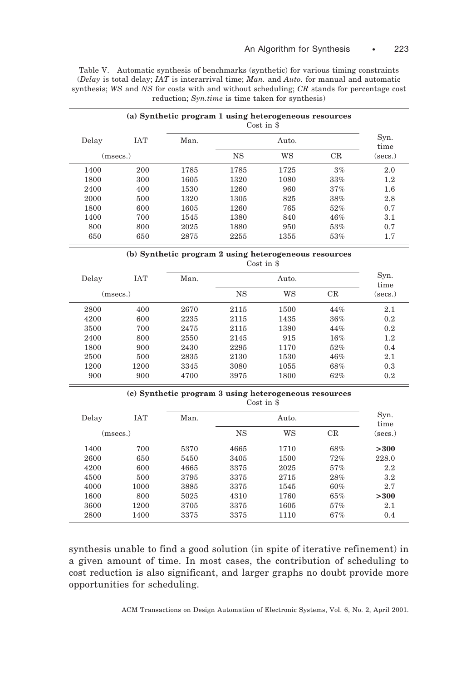| Table V. Automatic synthesis of benchmarks (synthetic) for various timing constraints     |
|-------------------------------------------------------------------------------------------|
| (Delay is total delay; IAT is interarrival time; Man. and Auto. for manual and automatic  |
| synthesis; WS and NS for costs with and without scheduling; CR stands for percentage cost |
| reduction; Syn.time is time taken for synthesis)                                          |

| (a) Synthetic program 1 using heterogeneous resources<br>Cost in $\$$ |            |                                                       |             |              |               |              |
|-----------------------------------------------------------------------|------------|-------------------------------------------------------|-------------|--------------|---------------|--------------|
| Delay                                                                 | <b>IAT</b> | Man.                                                  |             | Auto.        |               | Syn.<br>time |
|                                                                       | (msecs.)   |                                                       | $_{\rm NS}$ | <b>WS</b>    | $\mathrm{CR}$ | (secs.)      |
| 1400                                                                  | 200        | 1785                                                  | 1785        | 1725         | 3%            | 2.0          |
| 1800                                                                  | 300        | 1605                                                  | 1320        | 1080         | $33\%$        | $1.2\,$      |
| 2400                                                                  | 400        | 1530                                                  | 1260        | 960          | 37%           | 1.6          |
| 2000                                                                  | 500        | 1320                                                  | 1305        | 825          | $38\%$        | 2.8          |
| 1800                                                                  | 600        | 1605                                                  | 1260        | 765          | 52%           | 0.7          |
| 1400                                                                  | 700        | 1545                                                  | 1380        | 840          | 46%           | 3.1          |
| 800                                                                   | 800        | 2025                                                  | 1880        | 950          | 53%           | 0.7          |
| 650                                                                   | 650        | 2875                                                  | 2255        | 1355         | 53%           | 1.7          |
|                                                                       |            | (b) Synthetic program 2 using heterogeneous resources |             |              |               |              |
|                                                                       |            |                                                       |             | $Cost in$ \$ |               |              |
| Delay                                                                 | <b>IAT</b> | Man.                                                  |             | Auto.        |               | Syn.<br>time |
|                                                                       | (msecs.)   |                                                       | <b>NS</b>   | WS           | CR            | (secs.)      |
| 2800                                                                  | 400        | 2670                                                  | 2115        | 1500         | 44%           | 2.1          |
| 4200                                                                  | 600        | 2235                                                  | 2115        | 1435         | 36%           | 0.2          |
| 3500                                                                  | 700        | 2475                                                  | 2115        | 1380         | 44%           | 0.2          |
| 2400                                                                  | 800        | 2550                                                  | 2145        | 915          | 16%           | 1.2          |
| 1800                                                                  | 900        | 2430                                                  | 2295        | 1170         | 52%           | 0.4          |
| 2500                                                                  | 500        | 2835                                                  | 2130        | 1530         | 46%           | 2.1          |
| 1200                                                                  | 1200       | 3345                                                  | 3080        | 1055         | 68%           | 0.3          |
| 900                                                                   | 900        | 4700                                                  | 3975        | 1800         | 62%           | 0.2          |
|                                                                       |            | (c) Synthetic program 3 using heterogeneous resources |             |              |               |              |
|                                                                       |            |                                                       |             | $Cost in$ \$ |               |              |
| Delay                                                                 | <b>IAT</b> | Man.                                                  |             | Auto.        |               | Syn.<br>time |
| (msecs.)                                                              |            |                                                       | <b>NS</b>   | WS           | CR            | (secs.)      |
| 1400                                                                  | 700        | 5370                                                  | 4665        | 1710         | 68%           | >300         |
| 2600                                                                  | 650        | 5450                                                  | 3405        | 1500         | 72%           | 228.0        |
| 4200                                                                  | 600        | 4665                                                  | 3375        | 2025         | 57%           | 2.2          |
| 4500                                                                  | 500        | 3795                                                  | 3375        | 2715         | 28%           | 3.2          |
| 4000                                                                  | 1000       | 3885                                                  | 3375        | 1545         | 60%           | 2.7          |
| 1600                                                                  | 800        | 5025                                                  | 4310        | 1760         | 65%           | >300         |
| 3600                                                                  | 1200       | 3705                                                  | 3375        | 1605         | 57%           | 2.1          |

synthesis unable to find a good solution (in spite of iterative refinement) in a given amount of time. In most cases, the contribution of scheduling to cost reduction is also significant, and larger graphs no doubt provide more opportunities for scheduling.

2800 1400 3375 3375 1110 67% 0.4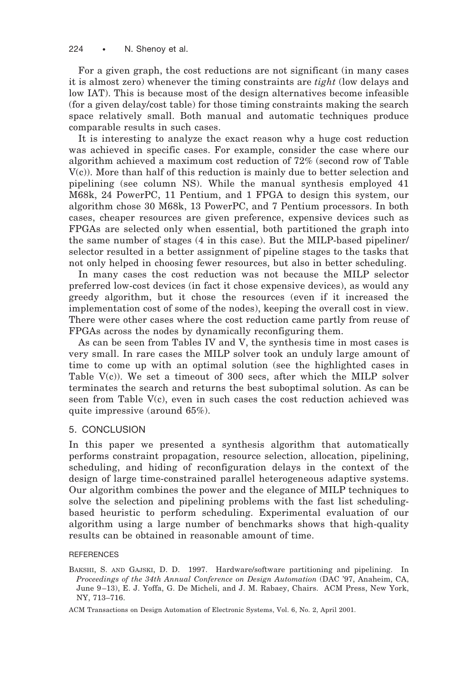For a given graph, the cost reductions are not significant (in many cases it is almost zero) whenever the timing constraints are *tight* (low delays and low IAT). This is because most of the design alternatives become infeasible (for a given delay/cost table) for those timing constraints making the search space relatively small. Both manual and automatic techniques produce comparable results in such cases.

It is interesting to analyze the exact reason why a huge cost reduction was achieved in specific cases. For example, consider the case where our algorithm achieved a maximum cost reduction of 72% (second row of Table V(c)). More than half of this reduction is mainly due to better selection and pipelining (see column NS). While the manual synthesis employed 41 M68k, 24 PowerPC, 11 Pentium, and 1 FPGA to design this system, our algorithm chose 30 M68k, 13 PowerPC, and 7 Pentium processors. In both cases, cheaper resources are given preference, expensive devices such as FPGAs are selected only when essential, both partitioned the graph into the same number of stages (4 in this case). But the MILP-based pipeliner/ selector resulted in a better assignment of pipeline stages to the tasks that not only helped in choosing fewer resources, but also in better scheduling.

In many cases the cost reduction was not because the MILP selector preferred low-cost devices (in fact it chose expensive devices), as would any greedy algorithm, but it chose the resources (even if it increased the implementation cost of some of the nodes), keeping the overall cost in view. There were other cases where the cost reduction came partly from reuse of FPGAs across the nodes by dynamically reconfiguring them.

As can be seen from Tables IV and V, the synthesis time in most cases is very small. In rare cases the MILP solver took an unduly large amount of time to come up with an optimal solution (see the highlighted cases in Table  $V(c)$ ). We set a timeout of 300 secs, after which the MILP solver terminates the search and returns the best suboptimal solution. As can be seen from Table V(c), even in such cases the cost reduction achieved was quite impressive (around 65%).

# 5. CONCLUSION

In this paper we presented a synthesis algorithm that automatically performs constraint propagation, resource selection, allocation, pipelining, scheduling, and hiding of reconfiguration delays in the context of the design of large time-constrained parallel heterogeneous adaptive systems. Our algorithm combines the power and the elegance of MILP techniques to solve the selection and pipelining problems with the fast list schedulingbased heuristic to perform scheduling. Experimental evaluation of our algorithm using a large number of benchmarks shows that high-quality results can be obtained in reasonable amount of time.

#### **REFERENCES**

BAKSHI, S. AND GAJSKI, D. D. 1997. Hardware/software partitioning and pipelining. In *Proceedings of the 34th Annual Conference on Design Automation* (DAC '97, Anaheim, CA, June 9–13), E. J. Yoffa, G. De Micheli, and J. M. Rabaey, Chairs. ACM Press, New York, NY, 713–716.